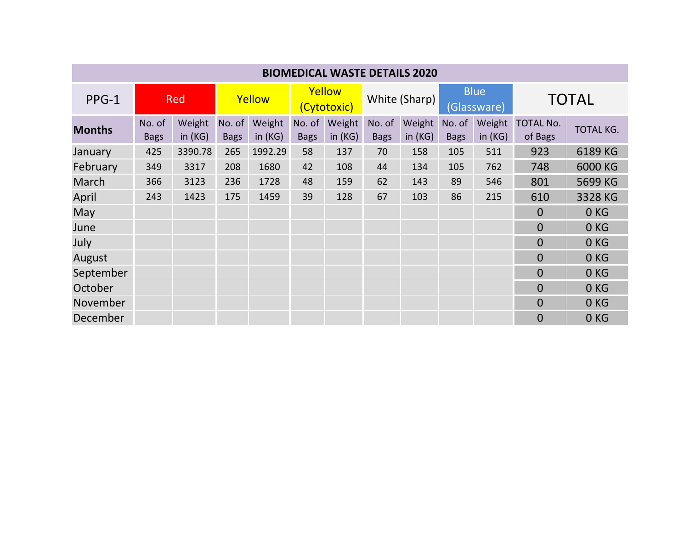| <b>BIOMEDICAL WASTE DETAILS 2020</b> |                       |                     |                       |                     |                       |                     |                       |                     |                            |                     |                             |                  |
|--------------------------------------|-----------------------|---------------------|-----------------------|---------------------|-----------------------|---------------------|-----------------------|---------------------|----------------------------|---------------------|-----------------------------|------------------|
| PPG-1                                | <b>Red</b>            |                     | Yellow                |                     | Yellow<br>(Cytotoxic) |                     | White (Sharp)         |                     | <b>Blue</b><br>(Glassware) |                     | <b>TOTAL</b>                |                  |
| <b>Months</b>                        | No. of<br><b>Bags</b> | Weight<br>in $(KG)$ | No. of<br><b>Bags</b> | Weight<br>in $(KG)$ | No. of<br><b>Bags</b> | Weight<br>in $(KG)$ | No. of<br><b>Bags</b> | Weight<br>in $(KG)$ | No. of<br><b>Bags</b>      | Weight<br>in $(KG)$ | <b>TOTAL No.</b><br>of Bags | <b>TOTAL KG.</b> |
| January                              | 425                   | 3390.78             | 265                   | 1992.29             | 58                    | 137                 | 70                    | 158                 | 105                        | 511                 | 923                         | 6189 KG          |
| February                             | 349                   | 3317                | 208                   | 1680                | 42                    | 108                 | 44                    | 134                 | 105                        | 762                 | 748                         | 6000 KG          |
| March                                | 366                   | 3123                | 236                   | 1728                | 48                    | 159                 | 62                    | 143                 | 89                         | 546                 | 801                         | 5699 KG          |
| April                                | 243                   | 1423                | 175                   | 1459                | 39                    | 128                 | 67                    | 103                 | 86                         | 215                 | 610                         | 3328 KG          |
| May                                  |                       |                     |                       |                     |                       |                     |                       |                     |                            |                     | $\Omega$                    | 0 <sub>KG</sub>  |
| June                                 |                       |                     |                       |                     |                       |                     |                       |                     |                            |                     | $\overline{0}$              | 0 <sub>KG</sub>  |
| July                                 |                       |                     |                       |                     |                       |                     |                       |                     |                            |                     | $\overline{0}$              | 0 <sub>KG</sub>  |
| August                               |                       |                     |                       |                     |                       |                     |                       |                     |                            |                     | $\overline{0}$              | 0 <sub>KG</sub>  |
| September                            |                       |                     |                       |                     |                       |                     |                       |                     |                            |                     | $\overline{0}$              | 0KG              |
| October                              |                       |                     |                       |                     |                       |                     |                       |                     |                            |                     | $\overline{0}$              | 0 <sub>KG</sub>  |
| November                             |                       |                     |                       |                     |                       |                     |                       |                     |                            |                     | $\Omega$                    | 0 <sub>KG</sub>  |
| December                             |                       |                     |                       |                     |                       |                     |                       |                     |                            |                     | $\overline{0}$              | 0 <sub>KG</sub>  |